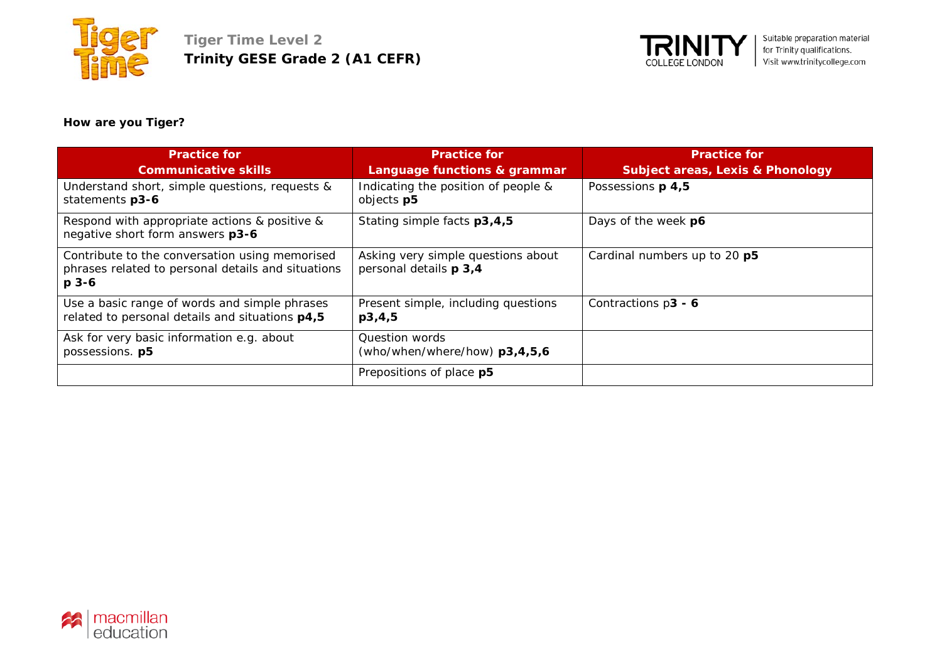



# **How are you Tiger?**

| <b>Practice for</b><br><b>Communicative skills</b>                                                                | <b>Practice for</b><br>Language functions & grammar          | <b>Practice for</b><br><b>Subject areas, Lexis &amp; Phonology</b> |
|-------------------------------------------------------------------------------------------------------------------|--------------------------------------------------------------|--------------------------------------------------------------------|
| Understand short, simple questions, requests &<br>statements p3-6                                                 | Indicating the position of people &<br>objects p5            | Possessions p 4,5                                                  |
| Respond with appropriate actions & positive &<br>negative short form answers p3-6                                 | Stating simple facts p3,4,5                                  | Days of the week p6                                                |
| Contribute to the conversation using memorised<br>phrases related to personal details and situations<br>$p_{3-6}$ | Asking very simple questions about<br>personal details p 3,4 | Cardinal numbers up to 20 p5                                       |
| Use a basic range of words and simple phrases<br>related to personal details and situations p4,5                  | Present simple, including questions<br>p3,4,5                | Contractions p3 - 6                                                |
| Ask for very basic information e.g. about<br>possessions. p5                                                      | Question words<br>(who/when/where/how) p3,4,5,6              |                                                                    |
|                                                                                                                   | Prepositions of place p5                                     |                                                                    |

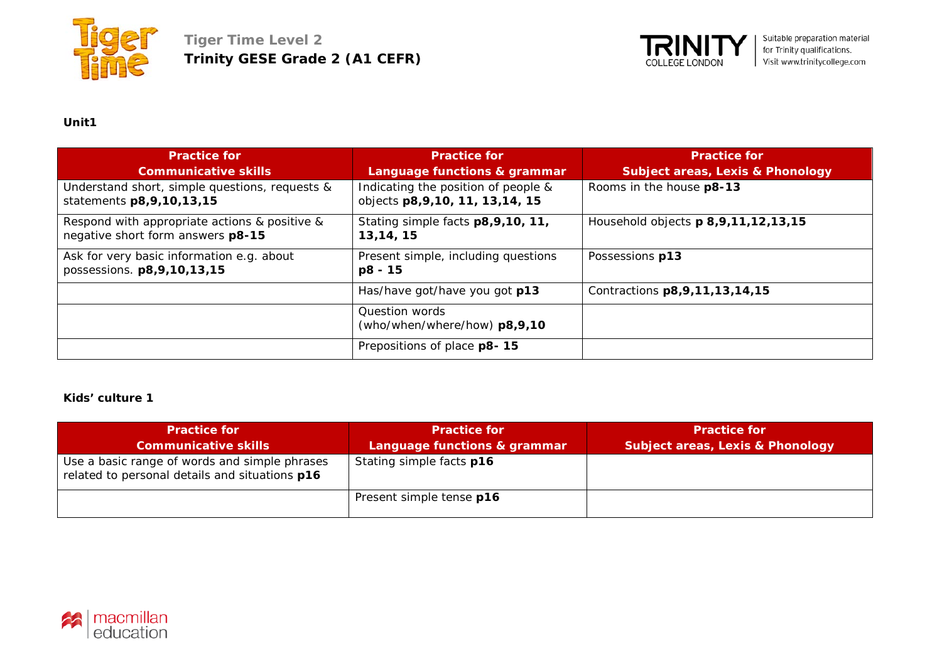



| <b>Practice for</b><br><b>Communicative skills</b>                                 | <b>Practice for</b><br>Language functions & grammar                      | <b>Practice for</b><br><b>Subject areas, Lexis &amp; Phonology</b> |
|------------------------------------------------------------------------------------|--------------------------------------------------------------------------|--------------------------------------------------------------------|
| Understand short, simple questions, requests &<br>statements p8, 9, 10, 13, 15     | Indicating the position of people &<br>objects p8, 9, 10, 11, 13, 14, 15 | Rooms in the house p8-13                                           |
| Respond with appropriate actions & positive &<br>negative short form answers p8-15 | Stating simple facts p8,9,10, 11,<br>13, 14, 15                          | Household objects p 8,9,11,12,13,15                                |
| Ask for very basic information e.g. about<br>possessions. p8,9,10,13,15            | Present simple, including questions<br>p8 - 15                           | Possessions p13                                                    |
|                                                                                    | Has/have got/have you got p13                                            | Contractions p8, 9, 11, 13, 14, 15                                 |
|                                                                                    | Question words<br>(who/when/where/how) p8,9,10                           |                                                                    |
|                                                                                    | Prepositions of place p8-15                                              |                                                                    |

#### **Kids' culture 1**

| <b>Practice for</b>                                                                             | <b>Practice for</b>          | <b>Practice for</b>                         |
|-------------------------------------------------------------------------------------------------|------------------------------|---------------------------------------------|
| <b>Communicative skills</b>                                                                     | Language functions & grammar | <b>Subject areas, Lexis &amp; Phonology</b> |
| Use a basic range of words and simple phrases<br>related to personal details and situations p16 | Stating simple facts p16     |                                             |
|                                                                                                 | Present simple tense p16     |                                             |

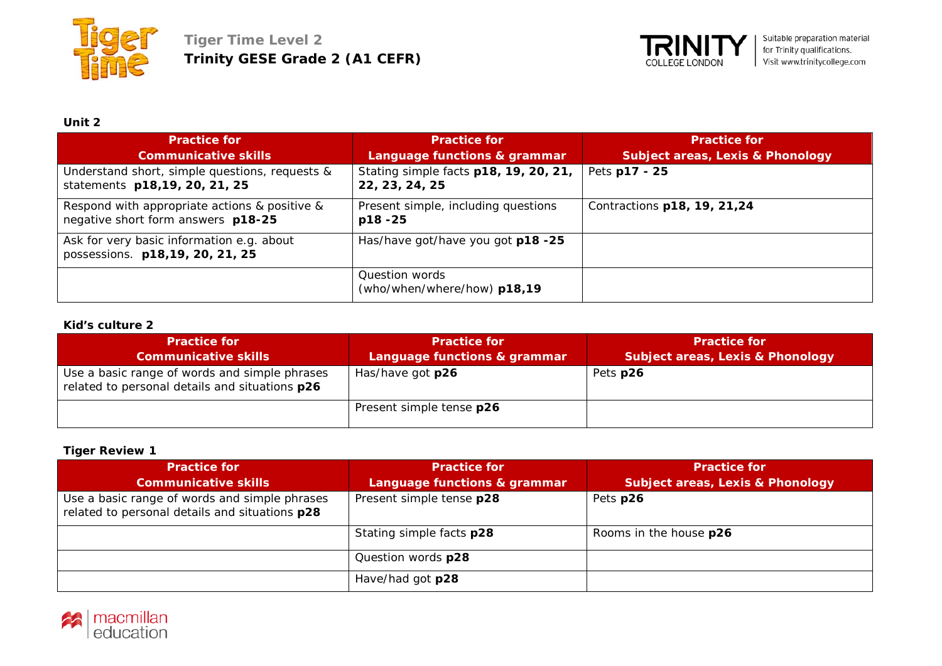



| <b>Practice for</b>                                                                 | <b>Practice for</b>                                     | <b>Practice for</b>                         |
|-------------------------------------------------------------------------------------|---------------------------------------------------------|---------------------------------------------|
| <b>Communicative skills</b>                                                         | Language functions & grammar                            | <b>Subject areas, Lexis &amp; Phonology</b> |
| Understand short, simple questions, requests &<br>statements p18,19, 20, 21, 25     | Stating simple facts p18, 19, 20, 21,<br>22, 23, 24, 25 | Pets p17 - 25                               |
| Respond with appropriate actions & positive &<br>negative short form answers p18-25 | Present simple, including questions<br>$p18 - 25$       | Contractions p18, 19, 21, 24                |
| Ask for very basic information e.g. about<br>possessions. p18,19, 20, 21, 25        | Has/have got/have you got p18 -25                       |                                             |
|                                                                                     | Question words<br>(who/when/where/how) p18,19           |                                             |

#### **Kid's culture 2**

| <b>Practice for</b>                                                                             | <b>Practice for</b>          | <b>Practice for</b>                         |
|-------------------------------------------------------------------------------------------------|------------------------------|---------------------------------------------|
| <b>Communicative skills</b>                                                                     | Language functions & grammar | <b>Subject areas, Lexis &amp; Phonology</b> |
| Use a basic range of words and simple phrases<br>related to personal details and situations p26 | Has/have got p26             | Pets p26                                    |
|                                                                                                 | Present simple tense p26     |                                             |

# **Tiger Review 1**

| <b>Practice for</b>                                                                             | <b>Practice for</b>          | <b>Practice for</b>                         |
|-------------------------------------------------------------------------------------------------|------------------------------|---------------------------------------------|
| <b>Communicative skills</b>                                                                     | Language functions & grammar | <b>Subject areas, Lexis &amp; Phonology</b> |
| Use a basic range of words and simple phrases<br>related to personal details and situations p28 | Present simple tense p28     | Pets p26                                    |
|                                                                                                 | Stating simple facts p28     | Rooms in the house p26                      |
|                                                                                                 | Question words p28           |                                             |
|                                                                                                 | Have/had got p28             |                                             |

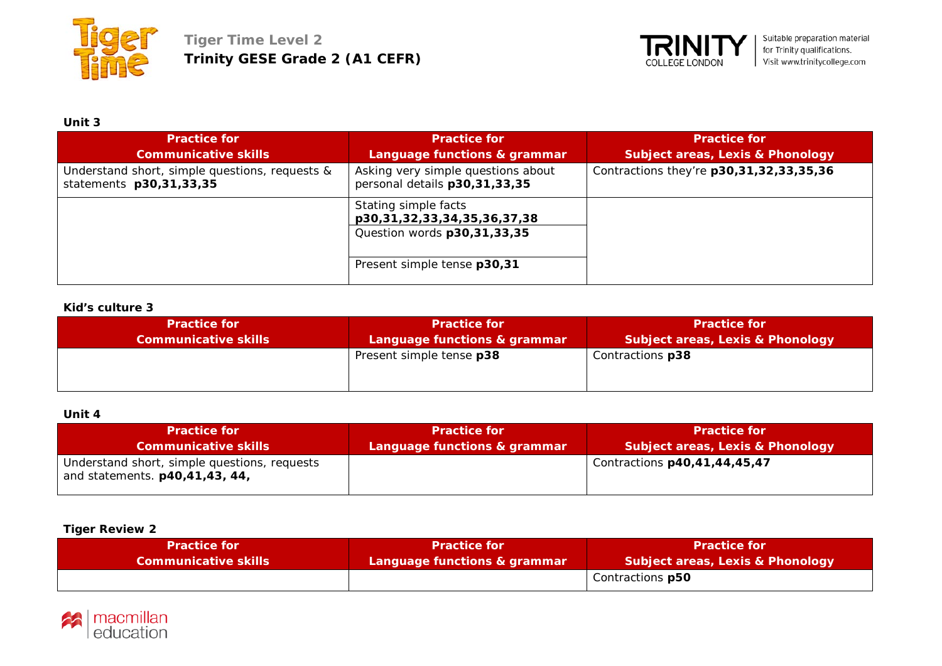



| <b>Practice for</b><br><b>Communicative skills</b>                        | <b>Practice for</b><br>Language functions & grammar                                | <b>Practice for</b><br><b>Subject areas, Lexis &amp; Phonology</b> |
|---------------------------------------------------------------------------|------------------------------------------------------------------------------------|--------------------------------------------------------------------|
| Understand short, simple questions, requests &<br>statements p30,31,33,35 | Asking very simple questions about<br>personal details p30,31,33,35                | Contractions they're p30,31,32,33,35,36                            |
|                                                                           | Stating simple facts<br>p30,31,32,33,34,35,36,37,38<br>Question words p30,31,33,35 |                                                                    |
|                                                                           | Present simple tense p30,31                                                        |                                                                    |

#### **Kid's culture 3**

| <b>Practice for</b>         | <b>Practice for</b>          | <b>Practice for</b>                         |
|-----------------------------|------------------------------|---------------------------------------------|
| <b>Communicative skills</b> | Language functions & grammar | <b>Subject areas, Lexis &amp; Phonology</b> |
|                             | Present simple tense p38     | Contractions p38                            |

# **Unit 4**

| <b>Practice for</b>                                                                   | <b>Practice for</b>          | <b>Practice for</b>                         |
|---------------------------------------------------------------------------------------|------------------------------|---------------------------------------------|
| <b>Communicative skills</b>                                                           | Language functions & grammar | <b>Subject areas, Lexis &amp; Phonology</b> |
| Understand short, simple questions, requests<br>and statements. <b>p40,41,43, 44,</b> |                              | Contractions p40,41,44,45,47                |

# **Tiger Review 2**

| <b>Practice for</b>         | <b>Practice for</b>          | <b>Practice for</b>              |
|-----------------------------|------------------------------|----------------------------------|
| <b>Communicative skills</b> | Language functions & grammar | Subject areas, Lexis & Phonology |
|                             |                              | Contractions p50                 |

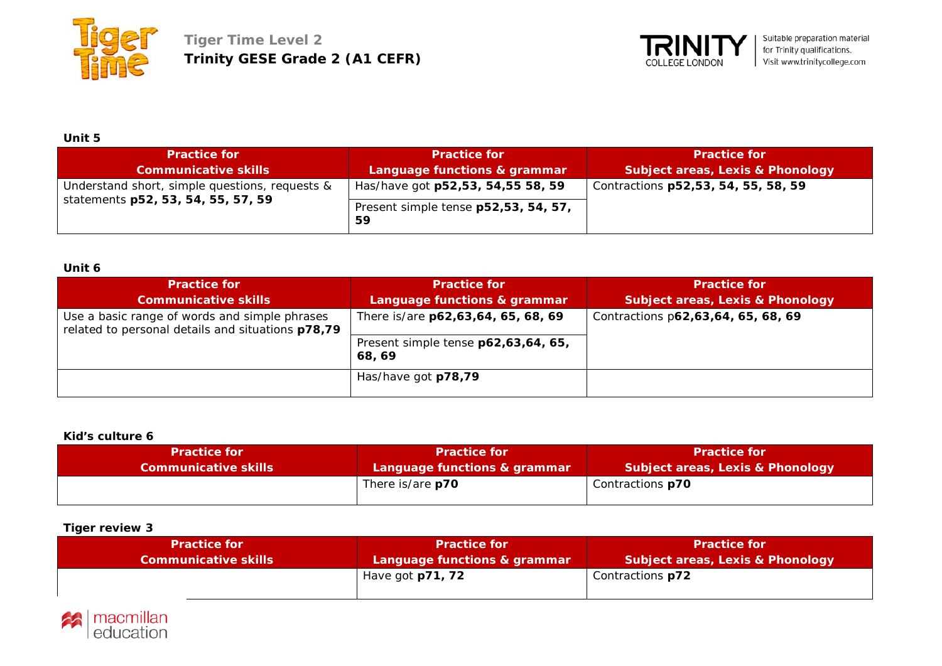



| <b>Practice for</b>                                                                  | <b>Practice for</b>                                                             | <b>Practice for</b>                         |
|--------------------------------------------------------------------------------------|---------------------------------------------------------------------------------|---------------------------------------------|
| <b>Communicative skills</b>                                                          | Language functions & grammar                                                    | <b>Subject areas, Lexis &amp; Phonology</b> |
| Understand short, simple questions, requests &<br>statements p52, 53, 54, 55, 57, 59 | Has/have got p52,53, 54,55 58, 59<br>Present simple tense p52,53, 54, 57,<br>59 | Contractions p52,53, 54, 55, 58, 59         |

## **Unit 6**

| <b>Practice for</b><br><b>Communicative skills</b>                                                 | <b>Practice for</b><br>Language functions & grammar                                 | <b>Practice for</b><br><b>Subject areas, Lexis &amp; Phonology</b> |
|----------------------------------------------------------------------------------------------------|-------------------------------------------------------------------------------------|--------------------------------------------------------------------|
| Use a basic range of words and simple phrases<br>related to personal details and situations p78,79 | There is/are p62,63,64, 65, 68, 69<br>Present simple tense p62,63,64, 65,<br>68, 69 | Contractions p62,63,64, 65, 68, 69                                 |
|                                                                                                    | Has/have got p78,79                                                                 |                                                                    |

## **Kid's culture 6**

| <b>Practice for</b>         | <b>Practice for</b>          | <b>Practice for</b>                         |
|-----------------------------|------------------------------|---------------------------------------------|
| <b>Communicative skills</b> | Language functions & grammar | <b>Subject areas, Lexis &amp; Phonology</b> |
|                             | There is/are <b>p70</b>      | Contractions <b>p70</b>                     |

# **Tiger review 3**

| <b>Practice for </b>        | <b>Practice for</b>          | <b>Practice for</b>                         |
|-----------------------------|------------------------------|---------------------------------------------|
| <b>Communicative skills</b> | Language functions & grammar | <b>Subject areas, Lexis &amp; Phonology</b> |
|                             | Have got <b>p71, 72</b>      | Contractions p72                            |